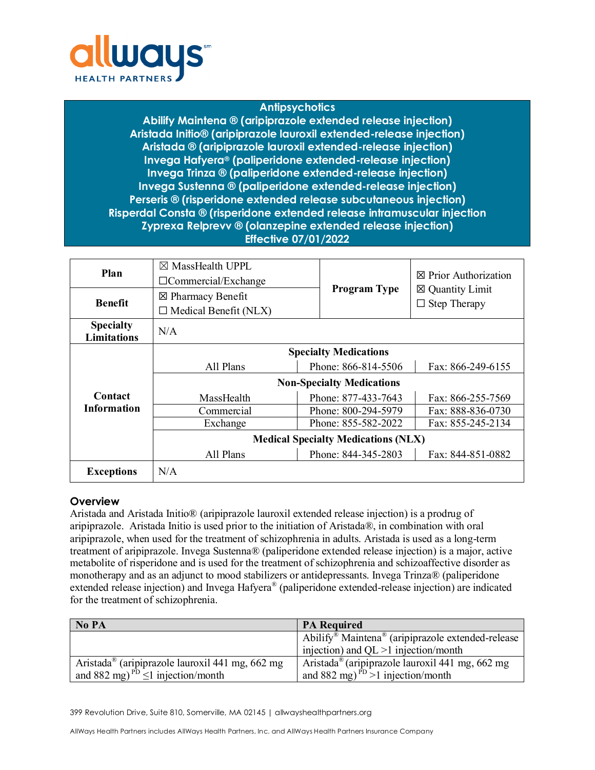

## **Antipsychotics**

**Abilify Maintena ® (aripiprazole extended release injection) Aristada Initio® (aripiprazole lauroxil extended-release injection) Aristada ® (aripiprazole lauroxil extended-release injection) Invega Hafyera® (paliperidone extended-release injection) Invega Trinza ® (paliperidone extended-release injection) Invega Sustenna ® (paliperidone extended-release injection) Perseris ® (risperidone extended release subcutaneous injection) Risperdal Consta ® (risperidone extended release intramuscular injection Zyprexa Relprevv ® (olanzepine extended release injection) Effective 07/01/2022**

| Plan                                   | $\boxtimes$ MassHealth UPPL<br>$\Box$ Commercial/Exchange    |                     | $\boxtimes$ Prior Authorization                   |  |
|----------------------------------------|--------------------------------------------------------------|---------------------|---------------------------------------------------|--|
| <b>Benefit</b>                         | $\boxtimes$ Pharmacy Benefit<br>$\Box$ Medical Benefit (NLX) | <b>Program Type</b> | $\boxtimes$ Quantity Limit<br>$\Box$ Step Therapy |  |
| <b>Specialty</b><br><b>Limitations</b> | N/A                                                          |                     |                                                   |  |
| Contact<br><b>Information</b>          | <b>Specialty Medications</b>                                 |                     |                                                   |  |
|                                        | All Plans                                                    | Phone: 866-814-5506 | Fax: 866-249-6155                                 |  |
|                                        | <b>Non-Specialty Medications</b>                             |                     |                                                   |  |
|                                        | MassHealth                                                   | Phone: 877-433-7643 | Fax: 866-255-7569                                 |  |
|                                        | Commercial                                                   | Phone: 800-294-5979 | Fax: 888-836-0730                                 |  |
|                                        | Exchange                                                     | Phone: 855-582-2022 | Fax: 855-245-2134                                 |  |
|                                        | <b>Medical Specialty Medications (NLX)</b>                   |                     |                                                   |  |
|                                        | All Plans                                                    | Phone: 844-345-2803 | Fax: 844-851-0882                                 |  |
| <b>Exceptions</b>                      | N/A                                                          |                     |                                                   |  |

#### **Overview**

Aristada and Aristada Initio® (aripiprazole lauroxil extended release injection) is a prodrug of aripiprazole. Aristada Initio is used prior to the initiation of Aristada®, in combination with oral aripiprazole, when used for the treatment of schizophrenia in adults. Aristada is used as a long-term treatment of aripiprazole. Invega Sustenna® (paliperidone extended release injection) is a major, active metabolite of risperidone and is used for the treatment of schizophrenia and schizoaffective disorder as monotherapy and as an adjunct to mood stabilizers or antidepressants. Invega Trinza® (paliperidone extended release injection) and Invega Hafyera® (paliperidone extended-release injection) are indicated for the treatment of schizophrenia.

| No PA                                                       | <b>PA Required</b>                                                        |
|-------------------------------------------------------------|---------------------------------------------------------------------------|
|                                                             | Abilify <sup>®</sup> Maintena <sup>®</sup> (aripiprazole extended-release |
|                                                             | injection) and QL $>1$ injection/month                                    |
| Aristada <sup>®</sup> (aripiprazole lauroxil 441 mg, 662 mg | Aristada <sup>®</sup> (aripiprazole lauroxil 441 mg, 662 mg               |
| and 882 mg) <sup>PD</sup> $\leq$ 1 injection/month          | and 882 mg) <sup>PD</sup> >1 injection/month                              |

399 Revolution Drive, Suite 810, Somerville, MA 02145 | allwayshealthpartners.org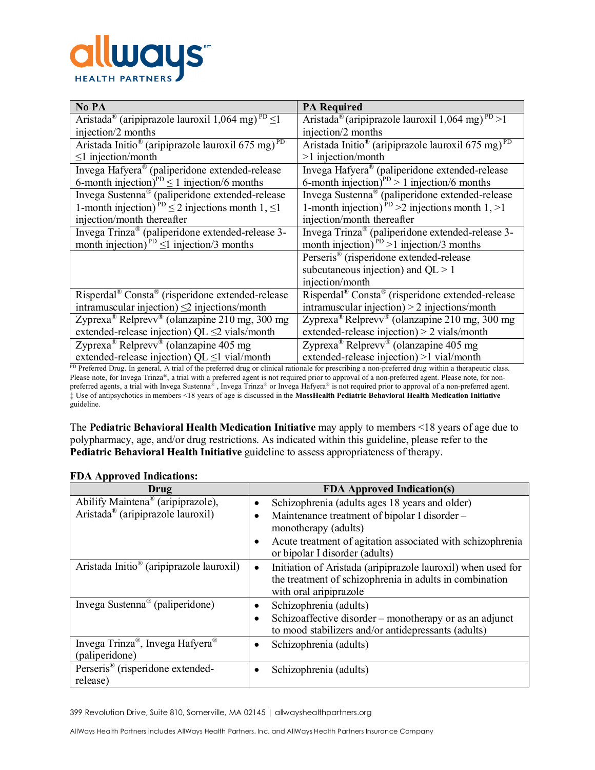

| No PA                                                                                | <b>PA Required</b>                                                        |
|--------------------------------------------------------------------------------------|---------------------------------------------------------------------------|
| Aristada <sup>®</sup> (aripiprazole lauroxil 1,064 mg) <sup>PD</sup> $\leq$ 1        | Aristada <sup>®</sup> (aripiprazole lauroxil 1,064 mg) <sup>PD</sup> >1   |
| injection/2 months                                                                   | injection/2 months                                                        |
| Aristada Initio <sup>®</sup> (aripiprazole lauroxil $675 \text{ mg}$ ) <sup>PD</sup> | Aristada Initio <sup>®</sup> (aripiprazole lauroxil 675 mg) <sup>PD</sup> |
| $\leq$ 1 injection/month                                                             | $>1$ injection/month                                                      |
| Invega Hafyera® (paliperidone extended-release                                       | Invega Hafyera® (paliperidone extended-release                            |
| 6-month injection) <sup>PD</sup> $\leq$ 1 injection/6 months                         | 6-month injection) <sup>PD</sup> > 1 injection/6 months                   |
| Invega Sustenna® (paliperidone extended-release                                      | Invega Sustenna® (paliperidone extended-release                           |
| 1-month injection) <sup>PD</sup> $\leq$ 2 injections month 1, $\leq$ 1               | 1-month injection) <sup>PD</sup> >2 injections month 1, >1                |
| injection/month thereafter                                                           | injection/month thereafter                                                |
| Invega Trinza® (paliperidone extended-release 3-                                     | Invega Trinza® (paliperidone extended-release 3-                          |
| month injection) <sup>PD</sup> $\leq$ 1 injection/3 months                           | month injection) <sup>PD</sup> >1 injection/3 months                      |
|                                                                                      | Perseris <sup>®</sup> (risperidone extended-release                       |
|                                                                                      | subcutaneous injection) and $QL > 1$                                      |
|                                                                                      | injection/month                                                           |
| Risperdal® Consta® (risperidone extended-release                                     | Risperdal® Consta® (risperidone extended-release                          |
| intramuscular injection) $\leq$ 2 injections/month                                   | intramuscular injection) $> 2$ injections/month                           |
| Zyprexa <sup>®</sup> Relprevv <sup>®</sup> (olanzapine 210 mg, 300 mg                | Zyprexa <sup>®</sup> Relprevv <sup>®</sup> (olanzapine 210 mg, 300 mg     |
| extended-release injection) QL $\leq$ 2 vials/month                                  | extended-release injection) > 2 vials/month                               |
| Zyprexa <sup>®</sup> Relprevv <sup>®</sup> (olanzapine 405 mg)                       | Zyprexa <sup>®</sup> Relprevv <sup>®</sup> (olanzapine 405 mg             |
| extended-release injection) QL $\leq$ 1 vial/month                                   | extended-release injection) >1 vial/month                                 |

PD Preferred Drug. In general, A trial of the preferred drug or clinical rationale for prescribing a non-preferred drug within a therapeutic class. Please note, for Invega Trinza®, a trial with a preferred agent is not required prior to approval of a non-preferred agent. Please note, for nonpreferred agents, a trial with Invega Sustenna® , Invega Trinza® or Invega Hafyera® is not required prior to approval of a non-preferred agent. ‡ Use of antipsychotics in members <18 years of age is discussed in the **MassHealth Pediatric Behavioral Health Medication Initiative**  guideline.

The **Pediatric Behavioral Health Medication Initiative** may apply to members <18 years of age due to polypharmacy, age, and/or drug restrictions. As indicated within this guideline, please refer to the **Pediatric Behavioral Health Initiative** guideline to assess appropriateness of therapy.

| Drug                                                 | <b>FDA Approved Indication(s)</b>                                                                                                                              |
|------------------------------------------------------|----------------------------------------------------------------------------------------------------------------------------------------------------------------|
| Abilify Maintena® (aripiprazole),                    | Schizophrenia (adults ages 18 years and older)<br>$\bullet$                                                                                                    |
| Aristada <sup>®</sup> (aripiprazole lauroxil)        | Maintenance treatment of bipolar I disorder -<br>monotherapy (adults)                                                                                          |
|                                                      | Acute treatment of agitation associated with schizophrenia<br>$\bullet$<br>or bipolar I disorder (adults)                                                      |
| Aristada Initio <sup>®</sup> (aripiprazole lauroxil) | Initiation of Aristada (aripiprazole lauroxil) when used for<br>$\bullet$<br>the treatment of schizophrenia in adults in combination<br>with oral aripiprazole |
| Invega Sustenna <sup>®</sup> (paliperidone)          | Schizophrenia (adults)<br>$\bullet$                                                                                                                            |
|                                                      | Schizoaffective disorder – monotherapy or as an adjunct<br>$\bullet$                                                                                           |
|                                                      | to mood stabilizers and/or antidepressants (adults)                                                                                                            |
| Invega Trinza®, Invega Hafyera®                      | Schizophrenia (adults)<br>$\bullet$                                                                                                                            |
| (paliperidone)                                       |                                                                                                                                                                |
| Perseris <sup>®</sup> (risperidone extended-         | Schizophrenia (adults)<br>$\bullet$                                                                                                                            |
| release)                                             |                                                                                                                                                                |

## **FDA Approved Indications:**

399 Revolution Drive, Suite 810, Somerville, MA 02145 | allwayshealthpartners.org

AllWays Health Partners includes AllWays Health Partners, Inc. and AllWays Health Partners Insurance Company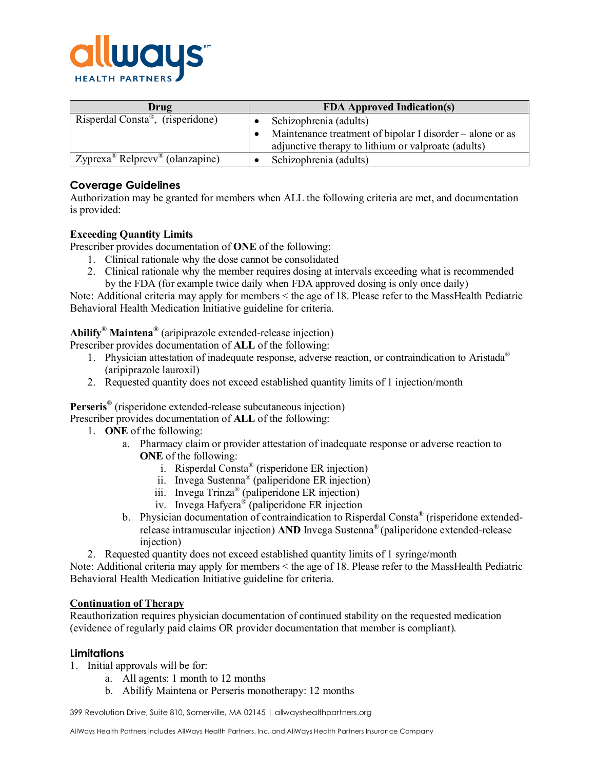

| Drug                                                    | <b>FDA Approved Indication(s)</b>                         |  |
|---------------------------------------------------------|-----------------------------------------------------------|--|
| Risperdal Consta <sup>®</sup> , (risperidone)           | Schizophrenia (adults)                                    |  |
|                                                         | Maintenance treatment of bipolar I disorder – alone or as |  |
|                                                         | adjunctive therapy to lithium or valproate (adults)       |  |
| Zyprexa <sup>®</sup> Relprevv <sup>®</sup> (olanzapine) | Schizophrenia (adults)                                    |  |

# **Coverage Guidelines**

Authorization may be granted for members when ALL the following criteria are met, and documentation is provided:

### **Exceeding Quantity Limits**

Prescriber provides documentation of **ONE** of the following:

- 1. Clinical rationale why the dose cannot be consolidated
- 2. Clinical rationale why the member requires dosing at intervals exceeding what is recommended by the FDA (for example twice daily when FDA approved dosing is only once daily)

Note: Additional criteria may apply for members < the age of 18. Please refer to the MassHealth Pediatric Behavioral Health Medication Initiative guideline for criteria.

**Abilify® Maintena®** (aripiprazole extended-release injection)

Prescriber provides documentation of **ALL** of the following:

- 1. Physician attestation of inadequate response, adverse reaction, or contraindication to Aristada® (aripiprazole lauroxil)
- 2. Requested quantity does not exceed established quantity limits of 1 injection/month

**Perseris®** (risperidone extended-release subcutaneous injection)

Prescriber provides documentation of **ALL** of the following:

- 1. **ONE** of the following:
	- a. Pharmacy claim or provider attestation of inadequate response or adverse reaction to **ONE** of the following:
		- i. Risperdal Consta® (risperidone ER injection)
		- ii. Invega Sustenna® (paliperidone ER injection)
		- iii. Invega Trinza® (paliperidone ER injection)
		- iv. Invega Hafyera® (paliperidone ER injection
	- b. Physician documentation of contraindication to Risperdal Consta® (risperidone extendedrelease intramuscular injection) **AND** Invega Sustenna® (paliperidone extended-release injection)
- 2. Requested quantity does not exceed established quantity limits of 1 syringe/month

Note: Additional criteria may apply for members < the age of 18. Please refer to the MassHealth Pediatric Behavioral Health Medication Initiative guideline for criteria.

#### **Continuation of Therapy**

Reauthorization requires physician documentation of continued stability on the requested medication (evidence of regularly paid claims OR provider documentation that member is compliant).

## **Limitations**

- 1. Initial approvals will be for:
	- a. All agents: 1 month to 12 months
	- b. Abilify Maintena or Perseris monotherapy: 12 months

399 Revolution Drive, Suite 810, Somerville, MA 02145 | allwayshealthpartners.org